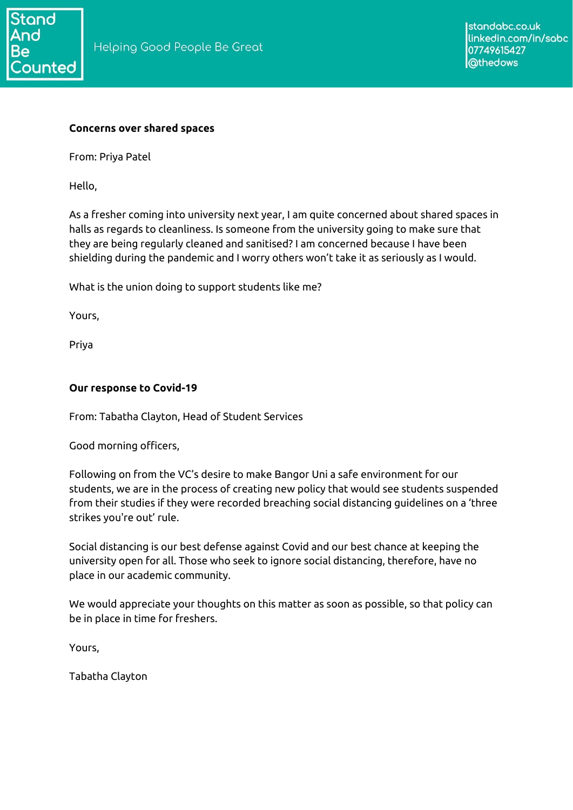

#### **Concerns over shared spaces**

From: Priya Patel

Hello,

As a fresher coming into university next year, I am quite concerned about shared spaces in halls as regards to cleanliness. Is someone from the university going to make sure that they are being regularly cleaned and sanitised? I am concerned because I have been shielding during the pandemic and I worry others won't take it as seriously as I would.

What is the union doing to support students like me?

Yours,

Priya

## **Our response to Covid-19**

From: Tabatha Clayton, Head of Student Services

Good morning officers,

Following on from the VC's desire to make Bangor Uni a safe environment for our students, we are in the process of creating new policy that would see students suspended from their studies if they were recorded breaching social distancing guidelines on a 'three strikes you're out' rule.

Social distancing is our best defense against Covid and our best chance at keeping the university open for all. Those who seek to ignore social distancing, therefore, have no place in our academic community.

We would appreciate your thoughts on this matter as soon as possible, so that policy can be in place in time for freshers.

Yours,

Tabatha Clayton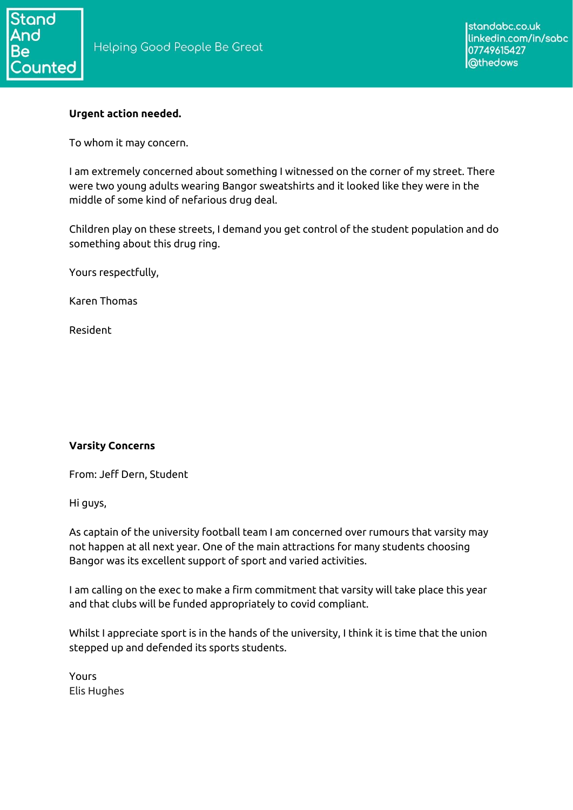

## **Urgent action needed.**

To whom it may concern.

I am extremely concerned about something I witnessed on the corner of my street. There were two young adults wearing Bangor sweatshirts and it looked like they were in the middle of some kind of nefarious drug deal.

Children play on these streets, I demand you get control of the student population and do something about this drug ring.

Yours respectfully,

Karen Thomas

Resident

# **Varsity Concerns**

From: Jeff Dern, Student

Hi guys,

As captain of the university football team I am concerned over rumours that varsity may not happen at all next year. One of the main attractions for many students choosing Bangor was its excellent support of sport and varied activities.

I am calling on the exec to make a firm commitment that varsity will take place this year and that clubs will be funded appropriately to covid compliant.

Whilst I appreciate sport is in the hands of the university, I think it is time that the union stepped up and defended its sports students.

Yours Elis Hughes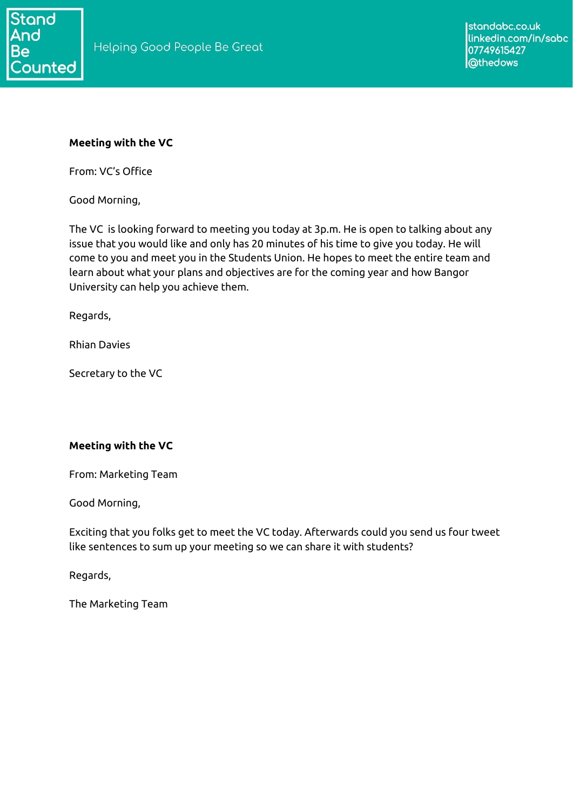

## **Meeting with the VC**

From: VC's Office

Good Morning,

The VC is looking forward to meeting you today at 3p.m. He is open to talking about any issue that you would like and only has 20 minutes of his time to give you today. He will come to you and meet you in the Students Union. He hopes to meet the entire team and learn about what your plans and objectives are for the coming year and how Bangor University can help you achieve them.

Regards,

Rhian Davies

Secretary to the VC

## **Meeting with the VC**

From: Marketing Team

Good Morning,

Exciting that you folks get to meet the VC today. Afterwards could you send us four tweet like sentences to sum up your meeting so we can share it with students?

Regards,

The Marketing Team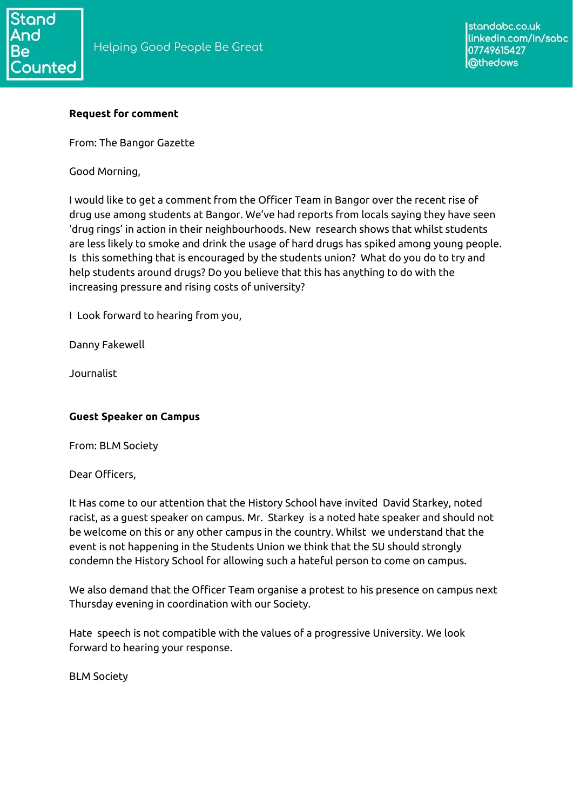# **Request for comment**

From: The Bangor Gazette

Good Morning,

I would like to get a comment from the Officer Team in Bangor over the recent rise of drug use among students at Bangor. We've had reports from locals saying they have seen 'drug rings' in action in their neighbourhoods. New research shows that whilst students are less likely to smoke and drink the usage of hard drugs has spiked among young people. Is this something that is encouraged by the students union? What do you do to try and help students around drugs? Do you believe that this has anything to do with the increasing pressure and rising costs of university?

I Look forward to hearing from you,

Danny Fakewell

Journalist

# **Guest Speaker on Campus**

From: BLM Society

Dear Officers,

It Has come to our attention that the History School have invited David Starkey, noted racist, as a guest speaker on campus. Mr. Starkey is a noted hate speaker and should not be welcome on this or any other campus in the country. Whilst we understand that the event is not happening in the Students Union we think that the SU should strongly condemn the History School for allowing such a hateful person to come on campus.

We also demand that the Officer Team organise a protest to his presence on campus next Thursday evening in coordination with our Society.

Hate speech is not compatible with the values of a progressive University. We look forward to hearing your response.

BLM Society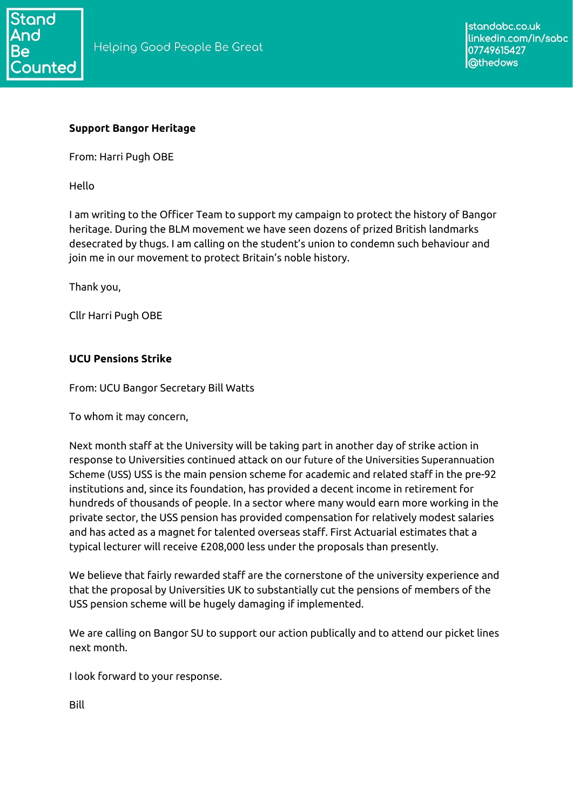

## **Support Bangor Heritage**

From: Harri Pugh OBE

Hello

I am writing to the Officer Team to support my campaign to protect the history of Bangor heritage. During the BLM movement we have seen dozens of prized British landmarks desecrated by thugs. I am calling on the student's union to condemn such behaviour and join me in our movement to protect Britain's noble history.

Thank you,

Cllr Harri Pugh OBE

## **UCU Pensions Strike**

From: UCU Bangor Secretary Bill Watts

To whom it may concern,

Next month staff at the University will be taking part in another day of strike action in response to Universities continued attack on our future of the Universities Superannuation Scheme (USS) USS is the main pension scheme for academic and related staff in the pre-92 institutions and, since its foundation, has provided a decent income in retirement for hundreds of thousands of people. In a sector where many would earn more working in the private sector, the USS pension has provided compensation for relatively modest salaries and has acted as a magnet for talented overseas staff. First Actuarial estimates that a typical lecturer will receive £208,000 less under the proposals than presently.

We believe that fairly rewarded staff are the cornerstone of the university experience and that the proposal by Universities UK to substantially cut the pensions of members of the USS pension scheme will be hugely damaging if implemented.

We are calling on Bangor SU to support our action publically and to attend our picket lines next month.

I look forward to your response.

Bill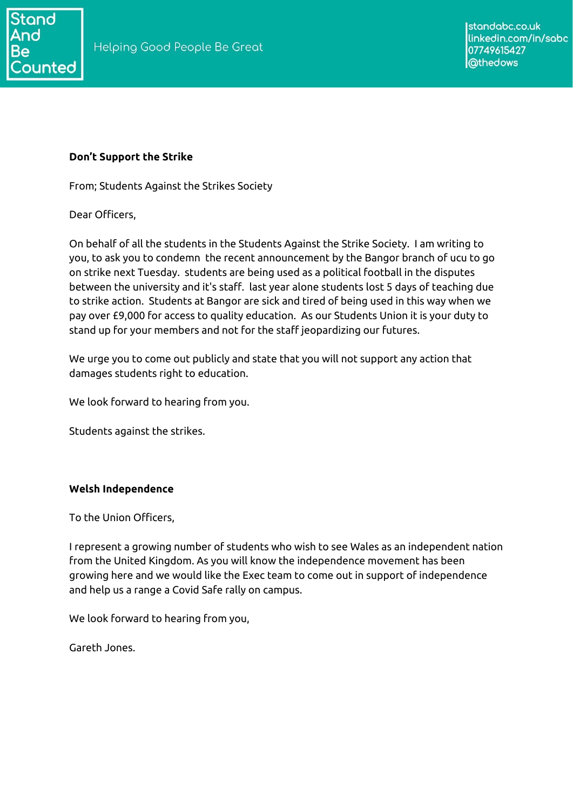

## **Don't Support the Strike**

From; Students Against the Strikes Society

Dear Officers,

On behalf of all the students in the Students Against the Strike Society. I am writing to you, to ask you to condemn the recent announcement by the Bangor branch of ucu to go on strike next Tuesday. students are being used as a political football in the disputes between the university and it's staff. last year alone students lost 5 days of teaching due to strike action. Students at Bangor are sick and tired of being used in this way when we pay over £9,000 for access to quality education. As our Students Union it is your duty to stand up for your members and not for the staff jeopardizing our futures.

We urge you to come out publicly and state that you will not support any action that damages students right to education.

We look forward to hearing from you.

Students against the strikes.

## **Welsh Independence**

To the Union Officers,

I represent a growing number of students who wish to see Wales as an independent nation from the United Kingdom. As you will know the independence movement has been growing here and we would like the Exec team to come out in support of independence and help us a range a Covid Safe rally on campus.

We look forward to hearing from you,

Gareth Jones.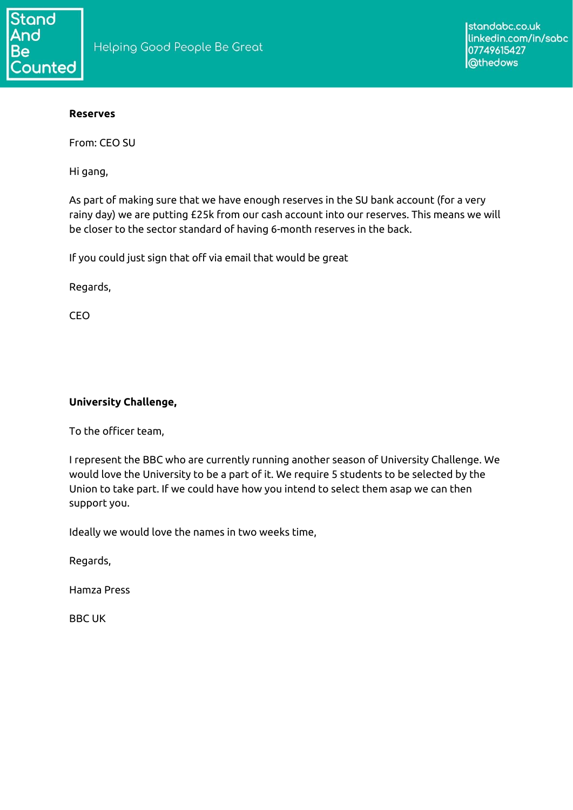#### **Reserves**

From: CEO SU

Hi gang,

As part of making sure that we have enough reserves in the SU bank account (for a very rainy day) we are putting £25k from our cash account into our reserves. This means we will be closer to the sector standard of having 6-month reserves in the back.

If you could just sign that off via email that would be great

Regards,

CEO

## **University Challenge,**

To the officer team,

I represent the BBC who are currently running another season of University Challenge. We would love the University to be a part of it. We require 5 students to be selected by the Union to take part. If we could have how you intend to select them asap we can then support you.

Ideally we would love the names in two weeks time,

Regards,

Hamza Press

BBC UK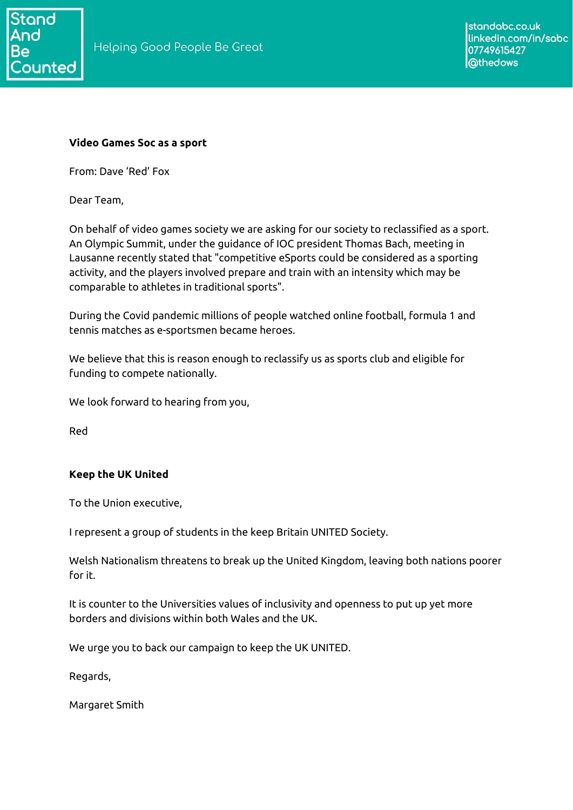

## **Video Games Soc as a sport**

From: Dave 'Red' Fox

Dear Team,

On behalf of video games society we are asking for our society to reclassified as a sport. An Olympic Summit, under the guidance of IOC president Thomas Bach, meeting in Lausanne recently stated that "competitive eSports could be considered as a sporting activity, and the players involved prepare and train with an intensity which may be comparable to athletes in traditional sports".

During the Covid pandemic millions of people watched online football, formula 1 and tennis matches as e-sportsmen became heroes.

We believe that this is reason enough to reclassify us as sports club and eligible for funding to compete nationally.

We look forward to hearing from you,

Red

## **Keep the UK United**

To the Union executive,

I represent a group of students in the keep Britain UNITED Society.

Welsh Nationalism threatens to break up the United Kingdom, leaving both nations poorer for it.

It is counter to the Universities values of inclusivity and openness to put up yet more borders and divisions within both Wales and the UK.

We urge you to back our campaign to keep the UK UNITED.

Regards,

Margaret Smith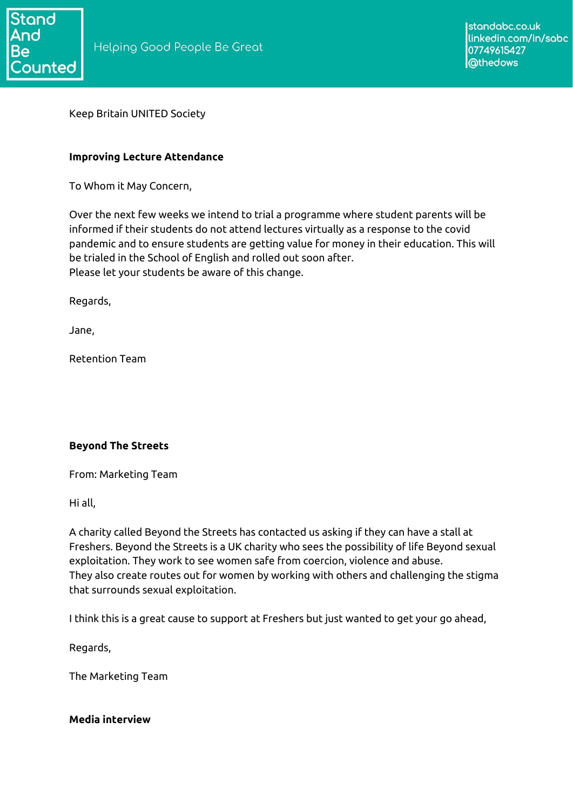

Keep Britain UNITED Society

#### **Improving Lecture Attendance**

To Whom it May Concern,

Over the next few weeks we intend to trial a programme where student parents will be informed if their students do not attend lectures virtually as a response to the covid pandemic and to ensure students are getting value for money in their education. This will be trialed in the School of English and rolled out soon after. Please let your students be aware of this change.

Regards,

Jane,

Retention Team

## **Beyond The Streets**

From: Marketing Team

Hi all,

A charity called Beyond the Streets has contacted us asking if they can have a stall at Freshers. Beyond the Streets is a UK charity who sees the possibility of life Beyond sexual exploitation. They work to see women safe from coercion, violence and abuse. They also create routes out for women by working with others and challenging the stigma that surrounds sexual exploitation.

I think this is a great cause to support at Freshers but just wanted to get your go ahead,

Regards,

The Marketing Team

#### **Media interview**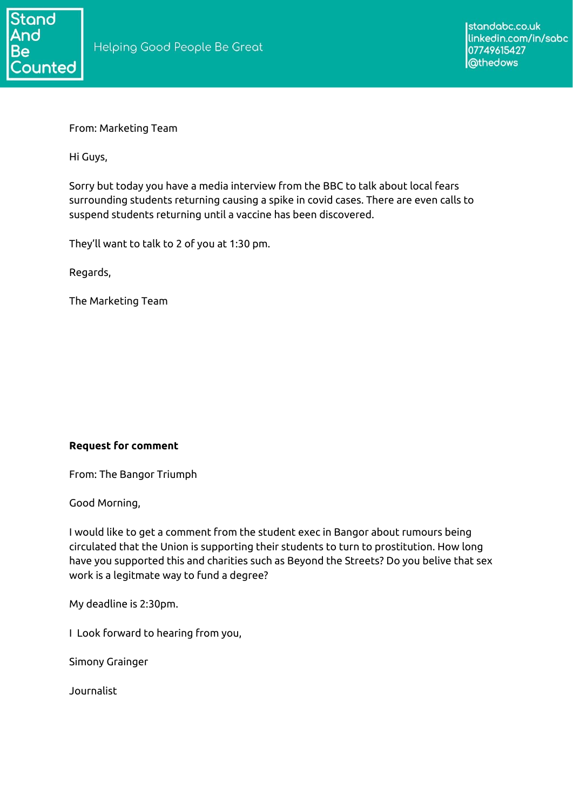

From: Marketing Team

Hi Guys,

Sorry but today you have a media interview from the BBC to talk about local fears surrounding students returning causing a spike in covid cases. There are even calls to suspend students returning until a vaccine has been discovered.

They'll want to talk to 2 of you at 1:30 pm.

Regards,

The Marketing Team

## **Request for comment**

From: The Bangor Triumph

Good Morning,

I would like to get a comment from the student exec in Bangor about rumours being circulated that the Union is supporting their students to turn to prostitution. How long have you supported this and charities such as Beyond the Streets? Do you belive that sex work is a legitmate way to fund a degree?

My deadline is 2:30pm.

I Look forward to hearing from you,

Simony Grainger

Journalist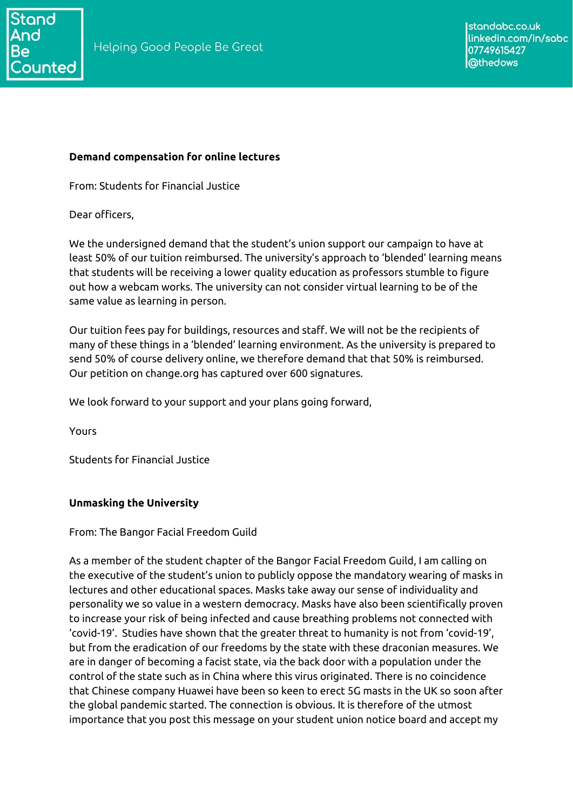## **Demand compensation for online lectures**

From: Students for Financial Justice

Dear officers,

We the undersigned demand that the student's union support our campaign to have at least 50% of our tuition reimbursed. The university's approach to 'blended' learning means that students will be receiving a lower quality education as professors stumble to figure out how a webcam works. The university can not consider virtual learning to be of the same value as learning in person.

Our tuition fees pay for buildings, resources and staff. We will not be the recipients of many of these things in a 'blended' learning environment. As the university is prepared to send 50% of course delivery online, we therefore demand that that 50% is reimbursed. Our petition on change.org has captured over 600 signatures.

We look forward to your support and your plans going forward,

Yours

Students for Financial Justice

# **Unmasking the University**

From: The Bangor Facial Freedom Guild

As a member of the student chapter of the Bangor Facial Freedom Guild, I am calling on the executive of the student's union to publicly oppose the mandatory wearing of masks in lectures and other educational spaces. Masks take away our sense of individuality and personality we so value in a western democracy. Masks have also been scientifically proven to increase your risk of being infected and cause breathing problems not connected with 'covid-19'. Studies have shown that the greater threat to humanity is not from 'covid-19', but from the eradication of our freedoms by the state with these draconian measures. We are in danger of becoming a facist state, via the back door with a population under the control of the state such as in China where this virus originated. There is no coincidence that Chinese company Huawei have been so keen to erect 5G masts in the UK so soon after the global pandemic started. The connection is obvious. It is therefore of the utmost importance that you post this message on your student union notice board and accept my